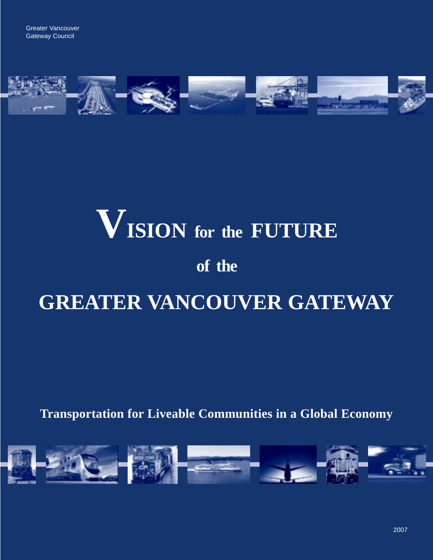

# **VISION for the FUTURE of the**

# **GREATER VANCOUVER GATEWAY**

**Transportation for Liveable Communities in a Global Economy**

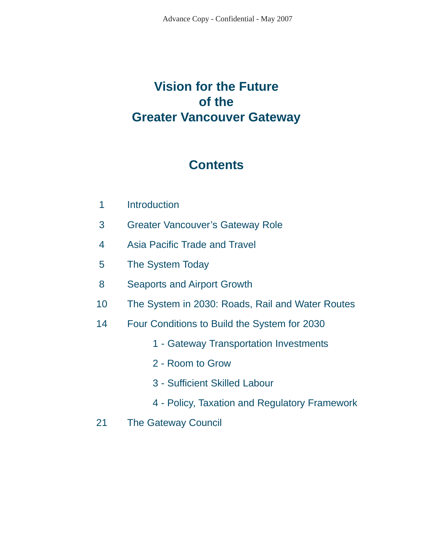## **Vision for the Future of the Greater Vancouver Gateway**

### **Contents**

- **Introduction** 1
- Greater Vancouver's Gateway Role 3
- Asia Pacific Trade and Travel 4
- The System Today 5
- Seaports and Airport Growth 8
- The System in 2030: Roads, Rail and Water Routes 10
- Four Conditions to Build the System for 2030 14
	- 1 Gateway Transportation Investments
	- 2 Room to Grow
	- 3 Sufficient Skilled Labour
	- 4 Policy, Taxation and Regulatory Framework
- The Gateway Council 21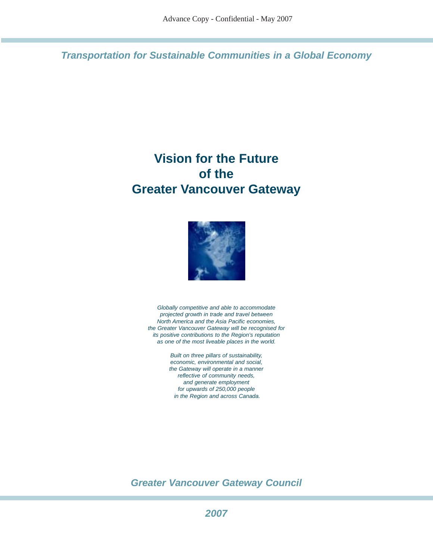**Transportation for Sustainable Communities in a Global Economy**

## **Vision for the Future of the Greater Vancouver Gateway**



Globally competitive and able to accommodate projected growth in trade and travel between North America and the Asia Pacific economies, the Greater Vancouver Gateway will be recognised for its positive contributions to the Region's reputation as one of the most liveable places in the world.

> Built on three pillars of sustainability, economic, environmental and social, the Gateway will operate in a manner reflective of community needs, and generate employment for upwards of 250,000 people in the Region and across Canada.

**Greater Vancouver Gateway Council**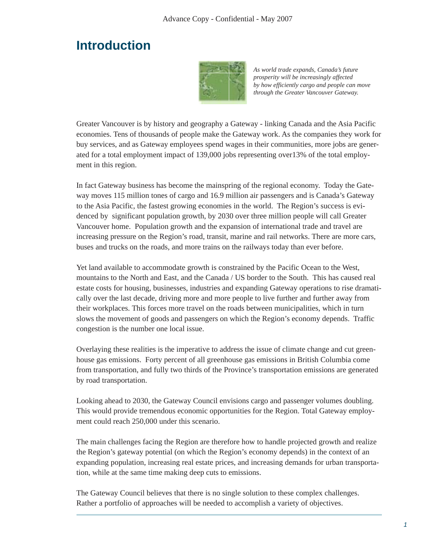### **Introduction**



*As world trade expands, Canada's future prosperity will be increasingly affected by how efficiently cargo and people can move through the Greater Vancouver Gateway.*

Greater Vancouver is by history and geography a Gateway - linking Canada and the Asia Pacific economies. Tens of thousands of people make the Gateway work. As the companies they work for buy services, and as Gateway employees spend wages in their communities, more jobs are generated for a total employment impact of 139,000 jobs representing over13% of the total employment in this region.

In fact Gateway business has become the mainspring of the regional economy. Today the Gateway moves 115 million tones of cargo and 16.9 million air passengers and is Canada's Gateway to the Asia Pacific, the fastest growing economies in the world. The Region's success is evidenced by significant population growth, by 2030 over three million people will call Greater Vancouver home. Population growth and the expansion of international trade and travel are increasing pressure on the Region's road, transit, marine and rail networks. There are more cars, buses and trucks on the roads, and more trains on the railways today than ever before.

Yet land available to accommodate growth is constrained by the Pacific Ocean to the West, mountains to the North and East, and the Canada / US border to the South. This has caused real estate costs for housing, businesses, industries and expanding Gateway operations to rise dramatically over the last decade, driving more and more people to live further and further away from their workplaces. This forces more travel on the roads between municipalities, which in turn slows the movement of goods and passengers on which the Region's economy depends. Traffic congestion is the number one local issue.

Overlaying these realities is the imperative to address the issue of climate change and cut greenhouse gas emissions. Forty percent of all greenhouse gas emissions in British Columbia come from transportation, and fully two thirds of the Province's transportation emissions are generated by road transportation.

Looking ahead to 2030, the Gateway Council envisions cargo and passenger volumes doubling. This would provide tremendous economic opportunities for the Region. Total Gateway employment could reach 250,000 under this scenario.

The main challenges facing the Region are therefore how to handle projected growth and realize the Region's gateway potential (on which the Region's economy depends) in the context of an expanding population, increasing real estate prices, and increasing demands for urban transportation, while at the same time making deep cuts to emissions.

The Gateway Council believes that there is no single solution to these complex challenges. Rather a portfolio of approaches will be needed to accomplish a variety of objectives.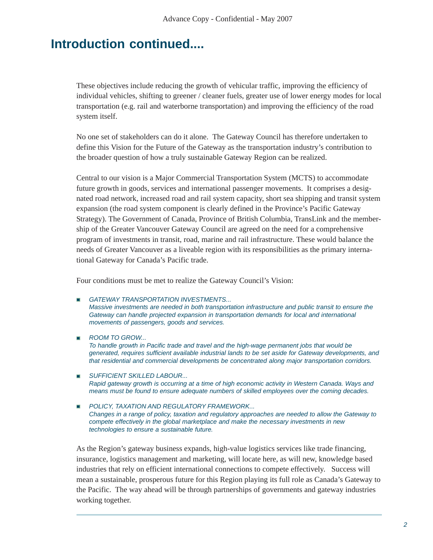### **Introduction continued....**

These objectives include reducing the growth of vehicular traffic, improving the efficiency of individual vehicles, shifting to greener / cleaner fuels, greater use of lower energy modes for local transportation (e.g. rail and waterborne transportation) and improving the efficiency of the road system itself.

No one set of stakeholders can do it alone. The Gateway Council has therefore undertaken to define this Vision for the Future of the Gateway as the transportation industry's contribution to the broader question of how a truly sustainable Gateway Region can be realized.

Central to our vision is a Major Commercial Transportation System (MCTS) to accommodate future growth in goods, services and international passenger movements. It comprises a designated road network, increased road and rail system capacity, short sea shipping and transit system expansion (the road system component is clearly defined in the Province's Pacific Gateway Strategy). The Government of Canada, Province of British Columbia, TransLink and the membership of the Greater Vancouver Gateway Council are agreed on the need for a comprehensive program of investments in transit, road, marine and rail infrastructure. These would balance the needs of Greater Vancouver as a liveable region with its responsibilities as the primary international Gateway for Canada's Pacific trade.

Four conditions must be met to realize the Gateway Council's Vision:

- **GATEWAY TRANSPORTATION INVESTMENTS...** Massive investments are needed in both transportation infrastructure and public transit to ensure the Gateway can handle projected expansion in transportation demands for local and international movements of passengers, goods and services.
- ROOM TO GROW... To handle growth in Pacific trade and travel and the high-wage permanent jobs that would be generated, requires sufficient available industrial lands to be set aside for Gateway developments, and that residential and commercial developments be concentrated along major transportation corridors.
- **SUFFICIENT SKILLED LABOUR...** Rapid gateway growth is occurring at a time of high economic activity in Western Canada. Ways and means must be found to ensure adequate numbers of skilled employees over the coming decades.
- **POLICY, TAXATION AND REGULATORY FRAMEWORK...** Changes in a range of policy, taxation and regulatory approaches are needed to allow the Gateway to compete effectively in the global marketplace and make the necessary investments in new technologies to ensure a sustainable future.

As the Region's gateway business expands, high-value logistics services like trade financing, insurance, logistics management and marketing, will locate here, as will new, knowledge based industries that rely on efficient international connections to compete effectively. Success will mean a sustainable, prosperous future for this Region playing its full role as Canada's Gateway to the Pacific. The way ahead will be through partnerships of governments and gateway industries working together.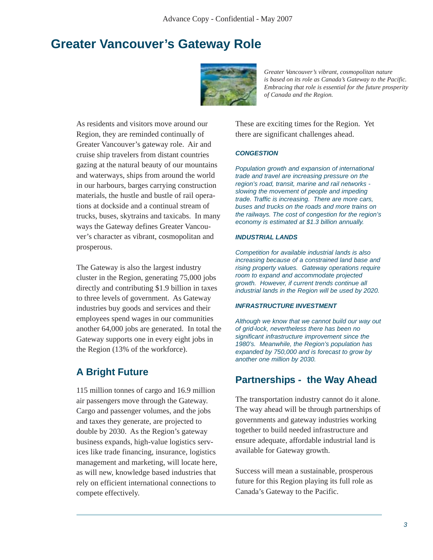### **Greater Vancouver's Gateway Role**



*Greater Vancouver's vibrant, cosmopolitan nature is based on its role as Canada's Gateway to the Pacific. Embracing that role is essential for the future prosperity of Canada and the Region.*

As residents and visitors move around our Region, they are reminded continually of Greater Vancouver's gateway role. Air and cruise ship travelers from distant countries gazing at the natural beauty of our mountains and waterways, ships from around the world in our harbours, barges carrying construction materials, the hustle and bustle of rail operations at dockside and a continual stream of trucks, buses, skytrains and taxicabs. In many ways the Gateway defines Greater Vancouver's character as vibrant, cosmopolitan and prosperous.

The Gateway is also the largest industry cluster in the Region, generating 75,000 jobs directly and contributing \$1.9 billion in taxes to three levels of government. As Gateway industries buy goods and services and their employees spend wages in our communities another 64,000 jobs are generated. In total the Gateway supports one in every eight jobs in the Region (13% of the workforce).

115 million tonnes of cargo and 16.9 million air passengers move through the Gateway. Cargo and passenger volumes, and the jobs and taxes they generate, are projected to double by 2030. As the Region's gateway business expands, high-value logistics services like trade financing, insurance, logistics management and marketing, will locate here, as will new, knowledge based industries that rely on efficient international connections to compete effectively.

These are exciting times for the Region. Yet there are significant challenges ahead.

#### **CONGESTION**

Population growth and expansion of international trade and travel are increasing pressure on the region's road, transit, marine and rail networks slowing the movement of people and impeding trade. Traffic is increasing. There are more cars, buses and trucks on the roads and more trains on the railways. The cost of congestion for the region's economy is estimated at \$1.3 billion annually.

#### **INDUSTRIAL LANDS**

Competition for available industrial lands is also increasing because of a constrained land base and rising property values. Gateway operations require room to expand and accommodate projected growth. However, if current trends continue all industrial lands in the Region will be used by 2020.

#### **INFRASTRUCTURE INVESTMENT**

Although we know that we cannot build our way out of grid-lock, nevertheless there has been no significant infrastructure improvement since the 1980's. Meanwhile, the Region's population has expanded by 750,000 and is forecast to grow by another one million by 2030.

# **A Bright Future Partnerships - the Way Ahead**

The transportation industry cannot do it alone. The way ahead will be through partnerships of governments and gateway industries working together to build needed infrastructure and ensure adequate, affordable industrial land is available for Gateway growth.

Success will mean a sustainable, prosperous future for this Region playing its full role as Canada's Gateway to the Pacific.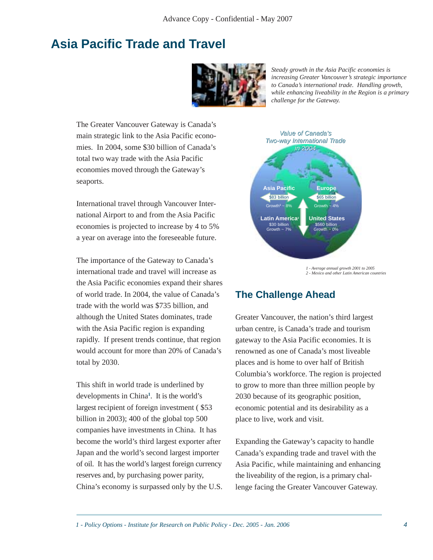### **Asia Pacific Trade and Travel**



*Steady growth in the Asia Pacific economies is increasing Greater Vancouver's strategic importance to Canada's international trade. Handling growth, while enhancing liveability in the Region is a primary challenge for the Gateway.*

The Greater Vancouver Gateway is Canada's main strategic link to the Asia Pacific economies. In 2004, some \$30 billion of Canada's total two way trade with the Asia Pacific economies moved through the Gateway's seaports.

International travel through Vancouver International Airport to and from the Asia Pacific economies is projected to increase by 4 to 5% a year on average into the foreseeable future.

The importance of the Gateway to Canada's international trade and travel will increase as the Asia Pacific economies expand their shares of world trade. In 2004, the value of Canada's trade with the world was \$735 billion, and although the United States dominates, trade with the Asia Pacific region is expanding rapidly. If present trends continue, that region would account for more than 20% of Canada's total by 2030.

This shift in world trade is underlined by developments in China**<sup>1</sup>** . It is the world's largest recipient of foreign investment ( \$53 billion in 2003); 400 of the global top 500 companies have investments in China. It has become the world's third largest exporter after Japan and the world's second largest importer of oil. It has the world's largest foreign currency reserves and, by purchasing power parity, China's economy is surpassed only by the U.S.



*2 - Mexico and other Latin American countries*

### **The Challenge Ahead**

Greater Vancouver, the nation's third largest urban centre, is Canada's trade and tourism gateway to the Asia Pacific economies. It is renowned as one of Canada's most liveable places and is home to over half of British Columbia's workforce. The region is projected to grow to more than three million people by 2030 because of its geographic position, economic potential and its desirability as a place to live, work and visit.

Expanding the Gateway's capacity to handle Canada's expanding trade and travel with the Asia Pacific, while maintaining and enhancing the liveability of the region, is a primary challenge facing the Greater Vancouver Gateway.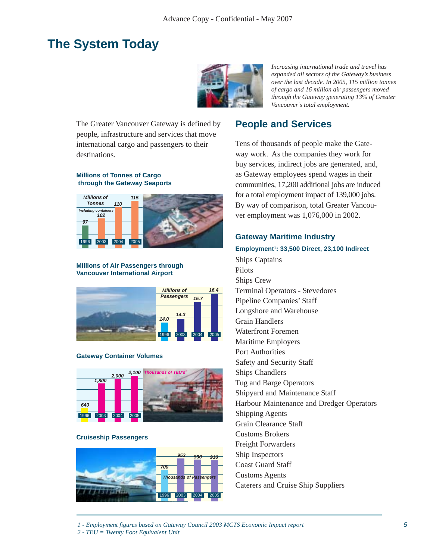### **The System Today**



*Increasing international trade and travel has expanded all sectors of the Gateway's business over the last decade. In 2005, 115 million tonnes of cargo and 16 million air passengers moved through the Gateway generating 13% of Greater Vancouver's total employment.*

The Greater Vancouver Gateway is defined by people, infrastructure and services that move international cargo and passengers to their destinations.

#### **Millions of Tonnes of Cargo through the Gateway Seaports**



#### **Millions of Air Passengers through Vancouver International Airport**



#### **Gateway Container Volumes**



#### **Cruiseship Passengers**



### **People and Services**

Tens of thousands of people make the Gateway work. As the companies they work for buy services, indirect jobs are generated, and, as Gateway employees spend wages in their communities, 17,200 additional jobs are induced for a total employment impact of 139,000 jobs. By way of comparison, total Greater Vancouver employment was 1,076,000 in 2002.

#### **Gateway Maritime Industry**

**Employment1: 33,500 Direct, 23,100 Indirect** Ships Captains Pilots Ships Crew Terminal Operators - Stevedores Pipeline Companies' Staff Longshore and Warehouse Grain Handlers Waterfront Foremen Maritime Employers Port Authorities Safety and Security Staff Ships Chandlers Tug and Barge Operators Shipyard and Maintenance Staff Harbour Maintenance and Dredger Operators Shipping Agents Grain Clearance Staff Customs Brokers Freight Forwarders Ship Inspectors Coast Guard Staff Customs Agents

Caterers and Cruise Ship Suppliers

*2 - TEU = Twenty Foot Equivalent Unit*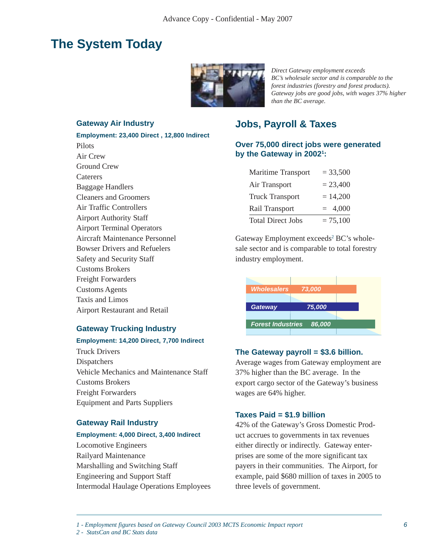### **The System Today**



*Direct Gateway employment exceeds BC's wholesale sector and is comparable to the forest industries (forestry and forest products). Gateway jobs are good jobs, with wages 37% higher than the BC average.*

#### **Gateway Air Industry**

**Employment: 23,400 Direct , 12,800 Indirect** Pilots Air Crew Ground Crew **Caterers** Baggage Handlers Cleaners and Groomers Air Traffic Controllers Airport Authority Staff Airport Terminal Operators Aircraft Maintenance Personnel Bowser Drivers and Refuelers Safety and Security Staff Customs Brokers Freight Forwarders Customs Agents Taxis and Limos Airport Restaurant and Retail

#### **Gateway Trucking Industry**

#### **Employment: 14,200 Direct, 7,700 Indirect**

Truck Drivers Dispatchers Vehicle Mechanics and Maintenance Staff Customs Brokers Freight Forwarders Equipment and Parts Suppliers

#### **Gateway Rail Industry**

#### **Employment: 4,000 Direct, 3,400 Indirect**

Locomotive Engineers Railyard Maintenance Marshalling and Switching Staff Engineering and Support Staff Intermodal Haulage Operations Employees

### **Jobs, Payroll & Taxes**

#### **Over 75,000 direct jobs were generated by the Gateway in 20021 :**

| Maritime Transport       | $= 33,500$ |
|--------------------------|------------|
| Air Transport            | $= 23,400$ |
| <b>Truck Transport</b>   | $= 14,200$ |
| Rail Transport           | $= 4,000$  |
| <b>Total Direct Jobs</b> | $= 75,100$ |

Gateway Employment exceeds<sup>2</sup> BC's wholesale sector and is comparable to total forestry industry employment.



#### **The Gateway payroll = \$3.6 billion.**

Average wages from Gateway employment are 37% higher than the BC average. In the export cargo sector of the Gateway's business wages are 64% higher.

#### **Taxes Paid = \$1.9 billion**

42% of the Gateway's Gross Domestic Product accrues to governments in tax revenues either directly or indirectly. Gateway enterprises are some of the more significant tax payers in their communities. The Airport, for example, paid \$680 million of taxes in 2005 to three levels of government.

*1 - Employment figures based on Gateway Council 2003 MCTS Economic Impact report*

*2 - StatsCan and BC Stats data*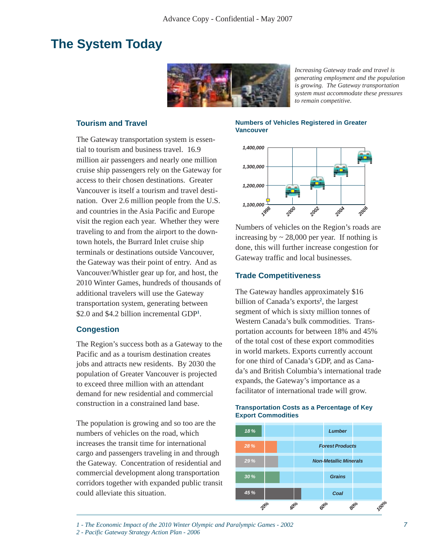### **The System Today**



*Increasing Gateway trade and travel is generating employment and the population is growing. The Gateway transportation system must accommodate these pressures to remain competitive.*

#### **Tourism and Travel**

The Gateway transportation system is essential to tourism and business travel. 16.9 million air passengers and nearly one million cruise ship passengers rely on the Gateway for access to their chosen destinations. Greater Vancouver is itself a tourism and travel destination. Over 2.6 million people from the U.S. and countries in the Asia Pacific and Europe visit the region each year. Whether they were traveling to and from the airport to the downtown hotels, the Burrard Inlet cruise ship terminals or destinations outside Vancouver, the Gateway was their point of entry. And as Vancouver/Whistler gear up for, and host, the 2010 Winter Games, hundreds of thousands of additional travelers will use the Gateway transportation system, generating between \$2.0 and \$4.2 billion incremental GDP**<sup>1</sup>** .

#### **Congestion**

The Region's success both as a Gateway to the Pacific and as a tourism destination creates jobs and attracts new residents. By 2030 the population of Greater Vancouver is projected to exceed three million with an attendant demand for new residential and commercial construction in a constrained land base.

The population is growing and so too are the numbers of vehicles on the road, which increases the transit time for international cargo and passengers traveling in and through the Gateway. Concentration of residential and commercial development along transportation corridors together with expanded public transit could alleviate this situation.

#### **Numbers of Vehicles Registered in Greater Vancouver**



Numbers of vehicles on the Region's roads are increasing by  $\sim$  28,000 per year. If nothing is done, this will further increase congestion for Gateway traffic and local businesses.

#### **Trade Competitiveness**

The Gateway handles approximately \$16 billion of Canada's exports**<sup>2</sup>** , the largest segment of which is sixty million tonnes of Western Canada's bulk commodities. Transportation accounts for between 18% and 45% of the total cost of these export commodities in world markets. Exports currently account for one third of Canada's GDP, and as Canada's and British Columbia's international trade expands, the Gateway's importance as a facilitator of international trade will grow.



**Transportation Costs as a Percentage of Key Export Commodities**

*1 - The Economic Impact of the 2010 Winter Olympic and Paralympic Games - 2002*

*<sup>2 -</sup> Pacific Gateway Strategy Action Plan - 2006*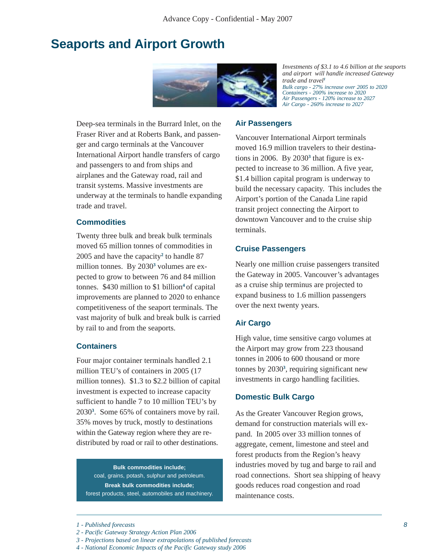### **Seaports and Airport Growth**



*Investments of \$3.1 to 4.6 billion at the seaports and airport will handle increased Gateway trade and travel<sup>1</sup> Bulk cargo - 27% increase over 2005 to 2020 Containers - 200% increase to 2020 Air Passengers - 120% increase to 2027 Air Cargo - 260% increase to 2027*

Deep-sea terminals in the Burrard Inlet, on the Fraser River and at Roberts Bank, and passenger and cargo terminals at the Vancouver International Airport handle transfers of cargo and passengers to and from ships and airplanes and the Gateway road, rail and transit systems. Massive investments are underway at the terminals to handle expanding trade and travel.

#### **Commodities**

Twenty three bulk and break bulk terminals moved 65 million tonnes of commodities in 2005 and have the capacity**<sup>2</sup>** to handle 87 million tonnes. By 2030<sup>3</sup> volumes are expected to grow to between 76 and 84 million tonnes. \$430 million to \$1 billion**<sup>4</sup>** of capital improvements are planned to 2020 to enhance competitiveness of the seaport terminals. The vast majority of bulk and break bulk is carried by rail to and from the seaports.

#### **Containers**

Four major container terminals handled 2.1 million TEU's of containers in 2005 (17 million tonnes). \$1.3 to \$2.2 billion of capital investment is expected to increase capacity sufficient to handle 7 to 10 million TEU's by 2030**<sup>3</sup>** . Some 65% of containers move by rail. 35% moves by truck, mostly to destinations within the Gateway region where they are redistributed by road or rail to other destinations.

**Bulk commodities include;** coal, grains, potash, sulphur and petroleum. **Break bulk commodities include;** forest products, steel, automobiles and machinery.

#### **Air Passengers**

Vancouver International Airport terminals moved 16.9 million travelers to their destinations in 2006. By 2030<sup>3</sup> that figure is expected to increase to 36 million. A five year, \$1.4 billion capital program is underway to build the necessary capacity. This includes the Airport's portion of the Canada Line rapid transit project connecting the Airport to downtown Vancouver and to the cruise ship terminals.

#### **Cruise Passengers**

Nearly one million cruise passengers transited the Gateway in 2005. Vancouver's advantages as a cruise ship terminus are projected to expand business to 1.6 million passengers over the next twenty years.

#### **Air Cargo**

High value, time sensitive cargo volumes at the Airport may grow from 223 thousand tonnes in 2006 to 600 thousand or more tonnes by 2030**<sup>3</sup>** , requiring significant new investments in cargo handling facilities.

#### **Domestic Bulk Cargo**

As the Greater Vancouver Region grows, demand for construction materials will expand. In 2005 over 33 million tonnes of aggregate, cement, limestone and steel and forest products from the Region's heavy industries moved by tug and barge to rail and road connections. Short sea shipping of heavy goods reduces road congestion and road maintenance costs.

*<sup>1 -</sup> Published forecasts*

*<sup>2 -</sup> Pacific Gateway Strategy Action Plan 2006*

*<sup>3 -</sup> Projections based on linear extrapolations of published forecasts*

*<sup>4 -</sup> National Economic Impacts of the Pacific Gateway study 2006*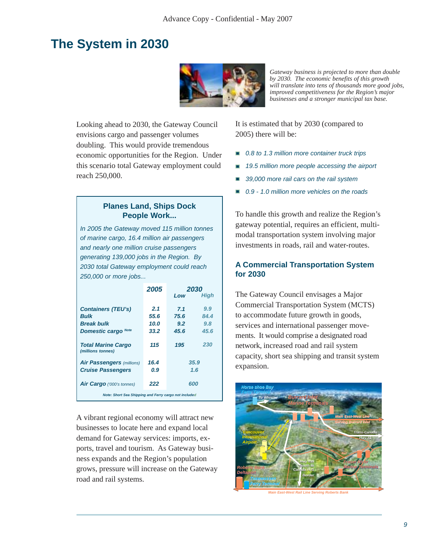### **The System in 2030**



*Gateway business is projected to more than double by 2030. The economic benefits of this growth will translate into tens of thousands more good jobs, improved competitiveness for the Region's major businesses and a stronger municipal tax base.*

Looking ahead to 2030, the Gateway Council envisions cargo and passenger volumes doubling. This would provide tremendous economic opportunities for the Region. Under this scenario total Gateway employment could reach 250,000.

#### **Planes Land, Ships Dock People Work...**

In 2005 the Gateway moved 115 million tonnes of marine cargo, 16.4 million air passengers and nearly one million cruise passengers generating 139,000 jobs in the Region. By 2030 total Gateway employment could reach 250,000 or more jobs...

|                                                       | 2005 | 2030 |      |  |  |  |
|-------------------------------------------------------|------|------|------|--|--|--|
|                                                       |      | Low  | Hiah |  |  |  |
|                                                       |      |      |      |  |  |  |
| <b>Containers (TEU's)</b>                             | 2.1  | 7.1  | 9.9  |  |  |  |
| <b>Bulk</b>                                           | 55.6 | 75.6 | 84.4 |  |  |  |
| <b>Break bulk</b>                                     | 10.0 | 9.2  | 9.8  |  |  |  |
| <b>Domestic cargo</b> Note                            | 33.2 | 45.6 | 45.6 |  |  |  |
| <b>Total Marine Cargo</b><br>(millions tonnes)        | 115  | 195  | 230  |  |  |  |
| <b>Air Passengers (millions)</b>                      | 16.4 | 35.9 |      |  |  |  |
| <b>Cruise Passengers</b>                              | 0.9  | 1.6  |      |  |  |  |
| <b>Air Cargo</b> ('000's tonnes)                      | 222  | 600  |      |  |  |  |
| Note: Short Sea Shipping and Ferry cargo not included |      |      |      |  |  |  |

A vibrant regional economy will attract new businesses to locate here and expand local demand for Gateway services: imports, exports, travel and tourism. As Gateway business expands and the Region's population grows, pressure will increase on the Gateway road and rail systems.

It is estimated that by 2030 (compared to 2005) there will be:

- 0.8 to 1.3 million more container truck trips
- 19.5 million more people accessing the airport
- 39,000 more rail cars on the rail system
- 0.9 1.0 million more vehicles on the roads

To handle this growth and realize the Region's gateway potential, requires an efficient, multimodal transportation system involving major investments in roads, rail and water-routes.

#### **A Commercial Transportation System for 2030**

The Gateway Council envisages a Major Commercial Transportation System (MCTS) to accommodate future growth in goods, services and international passenger movements. It would comprise a designated road network, increased road and rail system capacity, short sea shipping and transit system expansion.



**Main East-West Rail Line Serving Roberts Bank**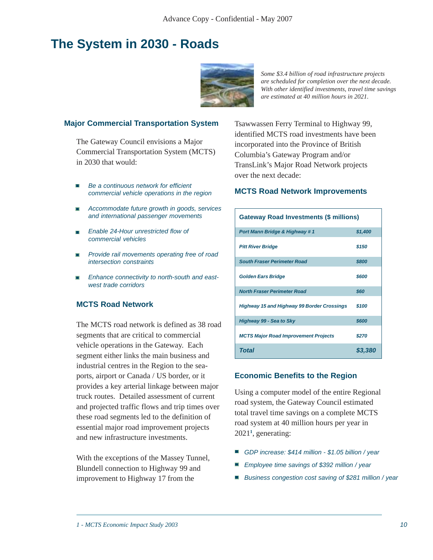### **The System in 2030 - Roads**



*Some \$3.4 billion of road infrastructure projects are scheduled for completion over the next decade. With other identified investments, travel time savings are estimated at 40 million hours in 2021.*

#### **Major Commercial Transportation System**

The Gateway Council envisions a Major Commercial Transportation System (MCTS) in 2030 that would:

- Be a continuous network for efficient n commercial vehicle operations in the region
- **Accommodate future growth in goods, services** and international passenger movements
- Enable 24-Hour unrestricted flow of commercial vehicles
- **Provide rail movements operating free of road** intersection constraints
- Enhance connectivity to north-south and eastwest trade corridors

#### **MCTS Road Network**

The MCTS road network is defined as 38 road segments that are critical to commercial vehicle operations in the Gateway. Each segment either links the main business and industrial centres in the Region to the seaports, airport or Canada / US border, or it provides a key arterial linkage between major truck routes. Detailed assessment of current and projected traffic flows and trip times over these road segments led to the definition of essential major road improvement projects and new infrastructure investments.

With the exceptions of the Massey Tunnel, Blundell connection to Highway 99 and improvement to Highway 17 from the

Tsawwassen Ferry Terminal to Highway 99, identified MCTS road investments have been incorporated into the Province of British Columbia's Gateway Program and/or TransLink's Major Road Network projects over the next decade:

#### **MCTS Road Network Improvements**

| <b>Gateway Road Investments (\$ millions)</b>     |         |  |  |  |
|---------------------------------------------------|---------|--|--|--|
| Port Mann Bridge & Highway #1                     | \$1,400 |  |  |  |
| <b>Pitt River Bridge</b>                          | \$150   |  |  |  |
| <b>South Fraser Perimeter Road</b>                | \$800   |  |  |  |
| <b>Golden Ears Bridge</b>                         | \$600   |  |  |  |
| <b>North Fraser Perimeter Road</b>                | \$60    |  |  |  |
| <b>Highway 15 and Highway 99 Border Crossings</b> | \$100   |  |  |  |
| Highway 99 - Sea to Sky                           | \$600   |  |  |  |
| <b>MCTS Major Road Improvement Projects</b>       | \$270   |  |  |  |
| <b>Total</b>                                      | \$3,380 |  |  |  |

#### **Economic Benefits to the Region**

Using a computer model of the entire Regional road system, the Gateway Council estimated total travel time savings on a complete MCTS road system at 40 million hours per year in 2021**<sup>1</sup>** , generating:

- GDP increase: \$414 million \$1.05 billion / year
- Employee time savings of \$392 million / year
- Business congestion cost saving of \$281 million / year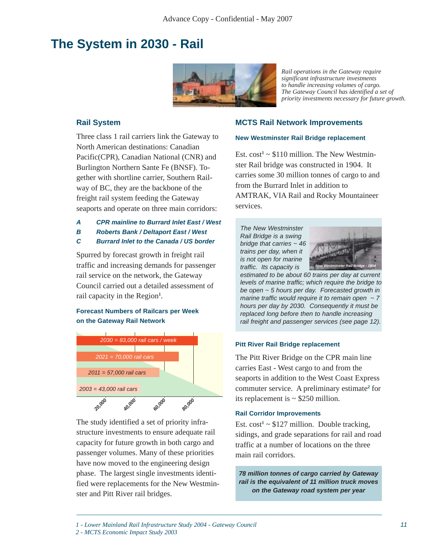### **The System in 2030 - Rail**



*Rail operations in the Gateway require significant infrastructure investments to handle increasing volumes of cargo. The Gateway Council has identified a set of priority investments necessary for future growth.*

#### **Rail System**

Three class 1 rail carriers link the Gateway to North American destinations: Canadian Pacific(CPR), Canadian National (CNR) and Burlington Northern Sante Fe (BNSF). Together with shortline carrier, Southern Railway of BC, they are the backbone of the freight rail system feeding the Gateway seaports and operate on three main corridors:

#### **A CPR mainline to Burrard Inlet East / West**

- **B Roberts Bank / Deltaport East / West**
- **C Burrard Inlet to the Canada / US border**

Spurred by forecast growth in freight rail traffic and increasing demands for passenger rail service on the network, the Gateway Council carried out a detailed assessment of rail capacity in the Region**<sup>1</sup>** .

#### **Forecast Numbers of Railcars per Week on the Gateway Rail Network**



The study identified a set of priority infrastructure investments to ensure adequate rail capacity for future growth in both cargo and passenger volumes. Many of these priorities have now moved to the engineering design phase. The largest single investments identified were replacements for the New Westminster and Pitt River rail bridges.

#### **MCTS Rail Network Improvements**

#### **New Westminster Rail Bridge replacement**

Est.  $cost^1 \sim $110$  million. The New Westminster Rail bridge was constructed in 1904. It carries some 30 million tonnes of cargo to and from the Burrard Inlet in addition to AMTRAK, VIA Rail and Rocky Mountaineer services.

The New Westminster Rail Bridge is a swing bridge that carries  $\sim$  46 trains per day, when it is not open for marine traffic. Its capacity is



estimated to be about 60 trains per day at current levels of marine traffic; which require the bridge to be open ~ 5 hours per day. Forecasted growth in marine traffic would require it to remain open  $\sim$  7 hours per day by 2030. Consequently it must be replaced long before then to handle increasing rail freight and passenger services (see page 12).

#### **Pitt River Rail Bridge replacement**

The Pitt River Bridge on the CPR main line carries East - West cargo to and from the seaports in addition to the West Coast Express commuter service. A preliminary estimate**<sup>2</sup>** for its replacement is  $\sim$  \$250 million.

Est.  $cost^1 \sim $127$  million. Double tracking, sidings, and grade separations for rail and road traffic at a number of locations on the three main rail corridors.

**78 million tonnes of cargo carried by Gateway rail is the equivalent of 11 million truck moves on the Gateway road system per year**

- *1 Lower Mainland Rail Infrastructure Study 2004 Gateway Council*
- *2 MCTS Economic Impact Study 2003*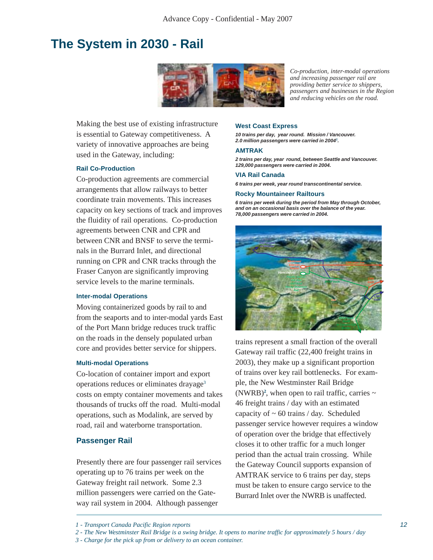### **The System in 2030 - Rail**



*Co-production, inter-modal operations and increasing passenger rail are providing better service to shippers, passengers and businesses in the Region and reducing vehicles on the road.*

Making the best use of existing infrastructure is essential to Gateway competitiveness. A variety of innovative approaches are being used in the Gateway, including:

#### **Rail Co-Production**

Co-production agreements are commercial arrangements that allow railways to better coordinate train movements. This increases capacity on key sections of track and improves the fluidity of rail operations. Co-production agreements between CNR and CPR and between CNR and BNSF to serve the terminals in the Burrard Inlet, and directional running on CPR and CNR tracks through the Fraser Canyon are significantly improving service levels to the marine terminals.

#### **Inter-modal Operations**

Moving containerized goods by rail to and from the seaports and to inter-modal yards East of the Port Mann bridge reduces truck traffic on the roads in the densely populated urban core and provides better service for shippers.

#### **Multi-modal Operations**

Co-location of container import and export operations reduces or eliminates drayage3 costs on empty container movements and takes thousands of trucks off the road. Multi-modal operations, such as Modalink, are served by road, rail and waterborne transportation.

#### **Passenger Rail**

Presently there are four passenger rail services operating up to 76 trains per week on the Gateway freight rail network. Some 2.3 million passengers were carried on the Gateway rail system in 2004. Although passenger

#### **West Coast Express**

**10 trains per day, year round. Mission / Vancouver. 2.0 million passengers were carried in 20041 .**

#### **AMTRAK**

**2 trains per day, year round, between Seattle and Vancouver. 129,000 passengers were carried in 2004.**

#### **VIA Rail Canada**

**6 trains per week, year round transcontinental service.**

#### **Rocky Mountaineer Railtours**

**6 trains per week during the period from May through October, and on an occasional basis over the balance of the year. 78,000 passengers were carried in 2004.**



trains represent a small fraction of the overall Gateway rail traffic (22,400 freight trains in 2003), they make up a significant proportion of trains over key rail bottlenecks. For example, the New Westminster Rail Bridge (NWRB)<sup>2</sup>, when open to rail traffic, carries  $\sim$ 46 freight trains / day with an estimated capacity of  $\sim 60$  trains / day. Scheduled passenger service however requires a window of operation over the bridge that effectively closes it to other traffic for a much longer period than the actual train crossing. While the Gateway Council supports expansion of AMTRAK service to 6 trains per day, steps must be taken to ensure cargo service to the Burrard Inlet over the NWRB is unaffected.

*<sup>1 -</sup> Transport Canada Pacific Region reports*

*<sup>2 -</sup> The New Westminster Rail Bridge is a swing bridge. It opens to marine traffic for approximately 5 hours / day*

*<sup>3 -</sup> Charge for the pick up from or delivery to an ocean container.*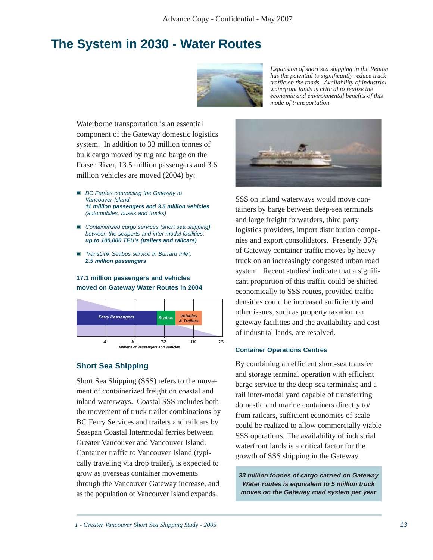### **The System in 2030 - Water Routes**



*Expansion of short sea shipping in the Region has the potential to significantly reduce truck traffic on the roads. Availability of industrial waterfront lands is critical to realize the economic and environmental benefits of this mode of transportation.*

Waterborne transportation is an essential component of the Gateway domestic logistics system. In addition to 33 million tonnes of bulk cargo moved by tug and barge on the Fraser River, 13.5 million passengers and 3.6 million vehicles are moved (2004) by:

- **BC** Ferries connecting the Gateway to Vancouver Island: **11 million passengers and 3.5 million vehicles** (automobiles, buses and trucks)
- Containerized cargo services (short sea shipping) between the seaports and inter-modal facilities: **up to 100,000 TEU's (trailers and railcars)**
- TransLink Seabus service in Burrard Inlet: **2.5 million passengers**

#### **17.1 million passengers and vehicles moved on Gateway Water Routes in 2004**



#### **Short Sea Shipping**

Short Sea Shipping (SSS) refers to the movement of containerized freight on coastal and inland waterways. Coastal SSS includes both the movement of truck trailer combinations by BC Ferry Services and trailers and railcars by Seaspan Coastal Intermodal ferries between Greater Vancouver and Vancouver Island. Container traffic to Vancouver Island (typically traveling via drop trailer), is expected to grow as overseas container movements through the Vancouver Gateway increase, and as the population of Vancouver Island expands.



SSS on inland waterways would move containers by barge between deep-sea terminals and large freight forwarders, third party logistics providers, import distribution companies and export consolidators. Presently 35% of Gateway container traffic moves by heavy truck on an increasingly congested urban road system. Recent studies<sup>1</sup> indicate that a significant proportion of this traffic could be shifted economically to SSS routes, provided traffic densities could be increased sufficiently and other issues, such as property taxation on gateway facilities and the availability and cost of industrial lands, are resolved.

#### **Container Operations Centres**

By combining an efficient short-sea transfer and storage terminal operation with efficient barge service to the deep-sea terminals; and a rail inter-modal yard capable of transferring domestic and marine containers directly to/ from railcars, sufficient economies of scale could be realized to allow commercially viable SSS operations. The availability of industrial waterfront lands is a critical factor for the growth of SSS shipping in the Gateway.

**33 million tonnes of cargo carried on Gateway Water routes is equivalent to 5 million truck moves on the Gateway road system per year**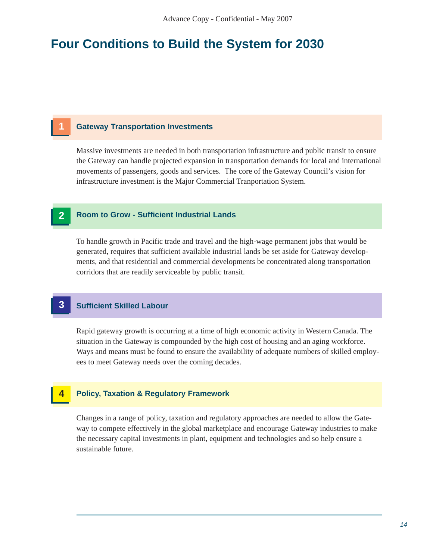### **Four Conditions to Build the System for 2030**

#### **1 Gateway Transportation Investments**

Massive investments are needed in both transportation infrastructure and public transit to ensure the Gateway can handle projected expansion in transportation demands for local and international movements of passengers, goods and services. The core of the Gateway Council's vision for infrastructure investment is the Major Commercial Tranportation System.

#### **2 Room to Grow - Sufficient Industrial Lands**

To handle growth in Pacific trade and travel and the high-wage permanent jobs that would be generated, requires that sufficient available industrial lands be set aside for Gateway developments, and that residential and commercial developments be concentrated along transportation corridors that are readily serviceable by public transit.

#### **3 Sufficient Skilled Labour**

Rapid gateway growth is occurring at a time of high economic activity in Western Canada. The situation in the Gateway is compounded by the high cost of housing and an aging workforce. Ways and means must be found to ensure the availability of adequate numbers of skilled employees to meet Gateway needs over the coming decades.

#### **4 Policy, Taxation & Regulatory Framework**

Changes in a range of policy, taxation and regulatory approaches are needed to allow the Gateway to compete effectively in the global marketplace and encourage Gateway industries to make the necessary capital investments in plant, equipment and technologies and so help ensure a sustainable future.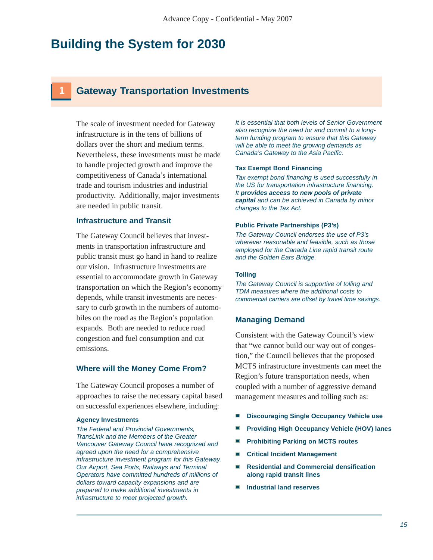### **1 Gateway Transportation Investments**

The scale of investment needed for Gateway infrastructure is in the tens of billions of dollars over the short and medium terms. Nevertheless, these investments must be made to handle projected growth and improve the competitiveness of Canada's international trade and tourism industries and industrial productivity. Additionally, major investments are needed in public transit.

#### **Infrastructure and Transit**

The Gateway Council believes that investments in transportation infrastructure and public transit must go hand in hand to realize our vision. Infrastructure investments are essential to accommodate growth in Gateway transportation on which the Region's economy depends, while transit investments are necessary to curb growth in the numbers of automobiles on the road as the Region's population expands. Both are needed to reduce road congestion and fuel consumption and cut emissions.

#### **Where will the Money Come From?**

The Gateway Council proposes a number of approaches to raise the necessary capital based on successful experiences elsewhere, including:

#### **Agency Investments**

The Federal and Provincial Governments, TransLink and the Members of the Greater Vancouver Gateway Council have recognized and agreed upon the need for a comprehensive infrastructure investment program for this Gateway. Our Airport, Sea Ports, Railways and Terminal Operators have committed hundreds of millions of dollars toward capacity expansions and are prepared to make additional investments in infrastructure to meet projected growth.

It is essential that both levels of Senior Government also recognize the need for and commit to a longterm funding program to ensure that this Gateway will be able to meet the growing demands as Canada's Gateway to the Asia Pacific.

#### **Tax Exempt Bond Financing**

Tax exempt bond financing is used successfully in the US for transportation infrastructure financing. It **provides access to new pools of private capital** and can be achieved in Canada by minor changes to the Tax Act.

#### **Public Private Partnerships (P3's)**

The Gateway Council endorses the use of P3's wherever reasonable and feasible, such as those employed for the Canada Line rapid transit route and the Golden Ears Bridge.

#### **Tolling**

The Gateway Council is supportive of tolling and TDM measures where the additional costs to commercial carriers are offset by travel time savings.

#### **Managing Demand**

Consistent with the Gateway Council's view that "we cannot build our way out of congestion," the Council believes that the proposed MCTS infrastructure investments can meet the Region's future transportation needs, when coupled with a number of aggressive demand management measures and tolling such as:

- **Discouraging Single Occupancy Vehicle use**
- **Providing High Occupancy Vehicle (HOV) lanes**
- **Prohibiting Parking on MCTS routes**
- **Critical Incident Management**
- **Residential and Commercial densification along rapid transit lines**
- **Industrial land reserves**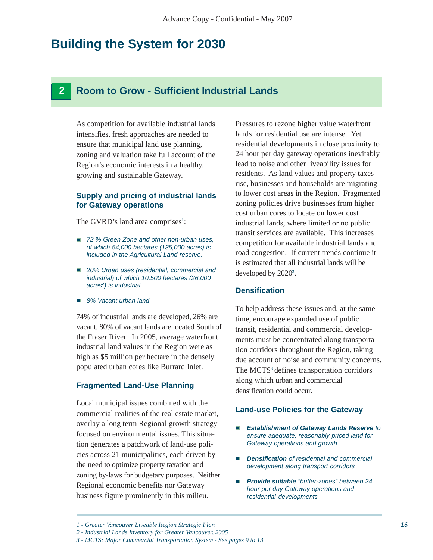### **2 Room to Grow - Sufficient Industrial Lands**

As competition for available industrial lands intensifies, fresh approaches are needed to ensure that municipal land use planning, zoning and valuation take full account of the Region's economic interests in a healthy, growing and sustainable Gateway.

#### **Supply and pricing of industrial lands for Gateway operations**

The GVRD's land area comprises**<sup>1</sup>** :

- 72 % Green Zone and other non-urban uses, of which 54,000 hectares (135,000 acres) is included in the Agricultural Land reserve.
- 20% Urban uses (residential, commercial and industrial) of which 10,500 hectares (26,000 acres**2**) is industrial
- 8% Vacant urban land

74% of industrial lands are developed, 26% are vacant. 80% of vacant lands are located South of the Fraser River. In 2005, average waterfront industrial land values in the Region were as high as \$5 million per hectare in the densely populated urban cores like Burrard Inlet.

#### **Fragmented Land-Use Planning**

Local municipal issues combined with the commercial realities of the real estate market, overlay a long term Regional growth strategy focused on environmental issues. This situation generates a patchwork of land-use policies across 21 municipalities, each driven by the need to optimize property taxation and zoning by-laws for budgetary purposes. Neither Regional economic benefits nor Gateway business figure prominently in this milieu.

Pressures to rezone higher value waterfront lands for residential use are intense. Yet residential developments in close proximity to 24 hour per day gateway operations inevitably lead to noise and other liveability issues for residents. As land values and property taxes rise, businesses and households are migrating to lower cost areas in the Region. Fragmented zoning policies drive businesses from higher cost urban cores to locate on lower cost industrial lands, where limited or no public transit services are available. This increases competition for available industrial lands and road congestion. If current trends continue it is estimated that all industrial lands will be developed by 2020**<sup>2</sup>** .

#### **Densification**

To help address these issues and, at the same time, encourage expanded use of public transit, residential and commercial developments must be concentrated along transportation corridors throughout the Region, taking due account of noise and community concerns. The MCTS<sup>3</sup> defines transportation corridors along which urban and commercial densification could occur.

#### **Land-use Policies for the Gateway**

- **Establishment of Gateway Lands Reserve** to ensure adequate, reasonably priced land for Gateway operations and growth.
- **Densification** of residential and commercial development along transport corridors
- **Provide suitable** "buffer-zones" between 24 hour per day Gateway operations and residential developments

*<sup>1 -</sup> Greater Vancouver Liveable Region Strategic Plan*

*<sup>2 -</sup> Industrial Lands Inventory for Greater Vancouver, 2005*

*<sup>3 -</sup> MCTS: Major Commercial Transportation System - See pages 9 to 13*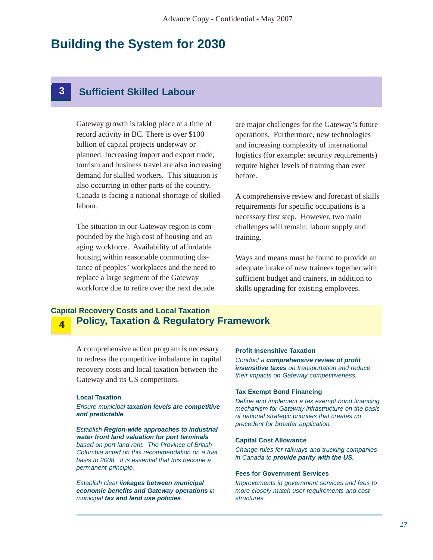### **3 Sufficient Skilled Labour**

Gateway growth is taking place at a time of record activity in BC. There is over \$100 billion of capital projects underway or planned. Increasing import and export trade, tourism and business travel are also increasing demand for skilled workers. This situation is also occurring in other parts of the country. Canada is facing a national shortage of skilled labour.

The situation in our Gateway region is compounded by the high cost of housing and an aging workforce. Availability of affordable housing within reasonable commuting distance of peoples' workplaces and the need to replace a large segment of the Gateway workforce due to retire over the next decade

are major challenges for the Gateway's future operations. Furthermore, new technologies and increasing complexity of international logistics (for example: security requirements) require higher levels of training than ever before.

A comprehensive review and forecast of skills requirements for specific occupations is a necessary first step. However, two main challenges will remain; labour supply and training.

Ways and means must be found to provide an adequate intake of new trainees together with sufficient budget and trainers, in addition to skills upgrading for existing employees.

#### **Policy, Taxation & Regulatory Framework Capital Recovery Costs and Local Taxation 4**

A comprehensive action program is necessary to redress the competitive imbalance in capital recovery costs and local taxation between the Gateway and its US competitors.

#### **Local Taxation**

Ensure municipal **taxation levels are competitive and predictable**.

Establish **Region-wide approaches to industrial water front land valuation for port terminals** based on port land rent. The Province of British Columbia acted on this recommendation on a trial basis to 2008. It is essential that this become a permanent principle.

Establish clear l**inkages between municipal economic benefits and Gateway operations** in municipal **tax and land use policies**.

#### **Profit Insensitive Taxation**

Conduct a **comprehensive review of profit insensitive taxes** on transportation and reduce their impacts on Gateway competitiveness.

#### **Tax Exempt Bond Financing**

Define and implement a tax exempt bond financing mechanism for Gateway infrastructure on the basis of national strategic priorities that creates no precedent for broader application.

#### **Capital Cost Allowance**

Change rules for railways and trucking companies in Canada to **provide parity with the US**.

#### **Fees for Government Services**

Improvements in government services and fees to more closely match user requirements and cost structures.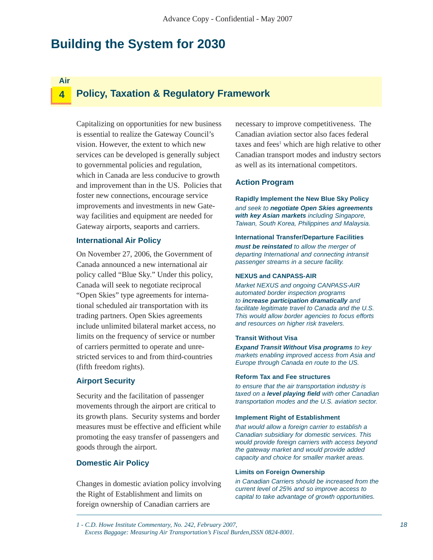**Air**

#### **Policy, Taxation & Regulatory Framework 4**

Capitalizing on opportunities for new business is essential to realize the Gateway Council's vision. However, the extent to which new services can be developed is generally subject to governmental policies and regulation, which in Canada are less conducive to growth and improvement than in the US. Policies that foster new connections, encourage service improvements and investments in new Gateway facilities and equipment are needed for Gateway airports, seaports and carriers.

#### **International Air Policy**

On November 27, 2006, the Government of Canada announced a new international air policy called "Blue Sky." Under this policy, Canada will seek to negotiate reciprocal "Open Skies" type agreements for international scheduled air transportation with its trading partners. Open Skies agreements include unlimited bilateral market access, no limits on the frequency of service or number of carriers permitted to operate and unrestricted services to and from third-countries (fifth freedom rights).

#### **Airport Security**

Security and the facilitation of passenger movements through the airport are critical to its growth plans. Security systems and border measures must be effective and efficient while promoting the easy transfer of passengers and goods through the airport.

#### **Domestic Air Policy**

Changes in domestic aviation policy involving the Right of Establishment and limits on foreign ownership of Canadian carriers are

necessary to improve competitiveness. The Canadian aviation sector also faces federal taxes and fees<sup>1</sup> which are high relative to other Canadian transport modes and industry sectors as well as its international competitors.

#### **Action Program**

**Rapidly Implement the New Blue Sky Policy** and seek to **negotiate Open Skies agreements with key Asian markets** including Singapore, Taiwan, South Korea, Philippines and Malaysia.

**International Transfer/Departure Facilities must be reinstated** to allow the merger of departing International and connecting intransit passenger streams in a secure facility.

#### **NEXUS and CANPASS-AIR**

Market NEXUS and ongoing CANPASS-AIR automated border inspection programs to **increase participation dramatically** and facilitate legitimate travel to Canada and the U.S. This would allow border agencies to focus efforts and resources on higher risk travelers.

#### **Transit Without Visa**

**Expand Transit Without Visa programs** to key markets enabling improved access from Asia and Europe through Canada en route to the US.

#### **Reform Tax and Fee structures**

to ensure that the air transportation industry is taxed on a **level playing field** with other Canadian transportation modes and the U.S. aviation sector.

#### **Implement Right of Establishment**

that would allow a foreign carrier to establish a Canadian subsidiary for domestic services. This would provide foreign carriers with access beyond the gateway market and would provide added capacity and choice for smaller market areas.

#### **Limits on Foreign Ownership**

in Canadian Carriers should be increased from the current level of 25% and so improve access to capital to take advantage of growth opportunities.

*<sup>1 -</sup> C.D. Howe Institute Commentary, No. 242, February 2007, Excess Baggage: Measuring Air Transportation's Fiscal Burden,ISSN 0824-8001.*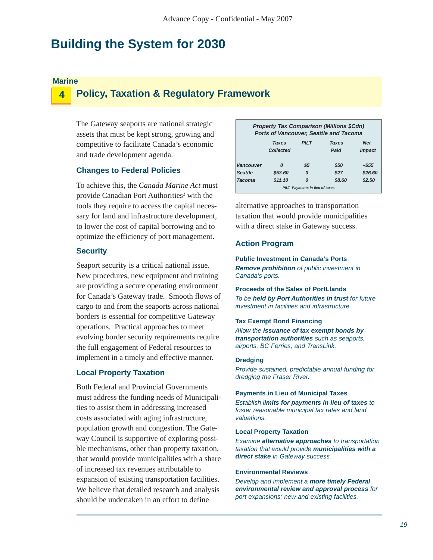#### **Marine**

#### **Policy, Taxation & Regulatory Framework 4**

The Gateway seaports are national strategic assets that must be kept strong, growing and competitive to facilitate Canada's economic and trade development agenda.

#### **Changes to Federal Policies**

To achieve this, the *Canada Marine Act* must provide Canadian Port Authorities<sup>1</sup> with the tools they require to access the capital necessary for land and infrastructure development, to lower the cost of capital borrowing and to optimize the efficiency of port management**.**

#### **Security**

Seaport security is a critical national issue. New procedures, new equipment and training are providing a secure operating environment for Canada's Gateway trade. Smooth flows of cargo to and from the seaports across national borders is essential for competitive Gateway operations. Practical approaches to meet evolving border security requirements require the full engagement of Federal resources to implement in a timely and effective manner.

#### **Local Property Taxation**

Both Federal and Provincial Governments must address the funding needs of Municipalities to assist them in addressing increased costs associated with aging infrastructure, population growth and congestion. The Gateway Council is supportive of exploring possible mechanisms, other than property taxation, that would provide municipalities with a share of increased tax revenues attributable to expansion of existing transportation facilities. We believe that detailed research and analysis should be undertaken in an effort to define

| <b>Property Tax Comparison (Millions \$Cdn)</b><br>Ports of Vancouver, Seattle and Tacoma |              |                                        |              |                      |  |
|-------------------------------------------------------------------------------------------|--------------|----------------------------------------|--------------|----------------------|--|
|                                                                                           | <b>Taxes</b> | PILT                                   | <b>Taxes</b> | <b>Net</b>           |  |
|                                                                                           | Collected    |                                        | Paid         | <i><b>Impact</b></i> |  |
| Vancouver                                                                                 | Ω            | \$5                                    | \$50         | -\$55                |  |
| <b>Seattle</b>                                                                            | \$53.60      | O                                      | \$27         | \$26.60              |  |
| <b>Tacoma</b>                                                                             | \$11.10      | Ω                                      | \$8.60       | \$2.50               |  |
|                                                                                           |              | <b>PILT- Payments in-lieu of taxes</b> |              |                      |  |

alternative approaches to transportation taxation that would provide municipalities with a direct stake in Gateway success.

#### **Action Program**

**Public Investment in Canada's Ports Remove prohibition** of public investment in Canada's ports.

**Proceeds of the Sales of PortLlands** To be **held by Port Authorities in trust** for future investment in facilities and infrastructure.

#### **Tax Exempt Bond Financing**

Allow the **issuance of tax exempt bonds by transportation authorities** such as seaports, airports, BC Ferries, and TransLink.

#### **Dredging**

Provide sustained, predictable annual funding for dredging the Fraser River.

**Payments in Lieu of Municipal Taxes**

Establish l**imits for payments in lieu of taxes** to foster reasonable municipal tax rates and land valuations.

#### **Local Property Taxation**

Examine **alternative approaches** to transportation taxation that would provide **municipalities with a direct stake** in Gateway success.

#### **Environmental Reviews**

Develop and implement a **more timely Federal environmental review and approval process** for port expansions: new and existing facilities.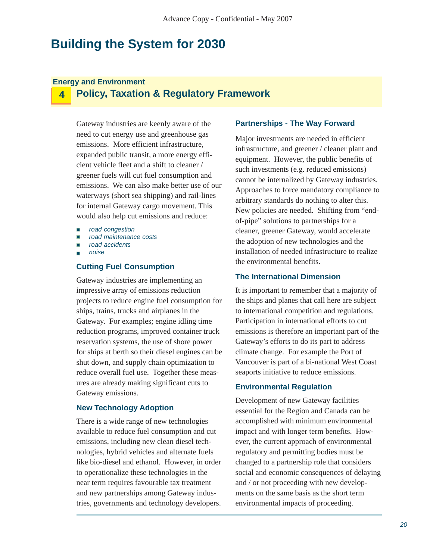#### **Energy and Environment**

### **4 Policy, Taxation & Regulatory Framework**

Gateway industries are keenly aware of the need to cut energy use and greenhouse gas emissions. More efficient infrastructure, expanded public transit, a more energy efficient vehicle fleet and a shift to cleaner / greener fuels will cut fuel consumption and emissions. We can also make better use of our waterways (short sea shipping) and rail-lines for internal Gateway cargo movement. This would also help cut emissions and reduce:

- road congestion
- road maintenance costs
- road accidents n
- noise

#### **Cutting Fuel Consumption**

Gateway industries are implementing an impressive array of emissions reduction projects to reduce engine fuel consumption for ships, trains, trucks and airplanes in the Gateway. For examples; engine idling time reduction programs, improved container truck reservation systems, the use of shore power for ships at berth so their diesel engines can be shut down, and supply chain optimization to reduce overall fuel use. Together these measures are already making significant cuts to Gateway emissions. **Environmental Regulation**

#### **New Technology Adoption**

There is a wide range of new technologies available to reduce fuel consumption and cut emissions, including new clean diesel technologies, hybrid vehicles and alternate fuels like bio-diesel and ethanol. However, in order to operationalize these technologies in the near term requires favourable tax treatment and new partnerships among Gateway industries, governments and technology developers.

#### **Partnerships - The Way Forward**

Major investments are needed in efficient infrastructure, and greener / cleaner plant and equipment. However, the public benefits of such investments (e.g. reduced emissions) cannot be internalized by Gateway industries. Approaches to force mandatory compliance to arbitrary standards do nothing to alter this. New policies are needed. Shifting from "endof-pipe" solutions to partnerships for a cleaner, greener Gateway, would accelerate the adoption of new technologies and the installation of needed infrastructure to realize the environmental benefits.

#### **The International Dimension**

It is important to remember that a majority of the ships and planes that call here are subject to international competition and regulations. Participation in international efforts to cut emissions is therefore an important part of the Gateway's efforts to do its part to address climate change. For example the Port of Vancouver is part of a bi-national West Coast seaports initiative to reduce emissions.

Development of new Gateway facilities essential for the Region and Canada can be accomplished with minimum environmental impact and with longer term benefits. However, the current approach of environmental regulatory and permitting bodies must be changed to a partnership role that considers social and economic consequences of delaying and / or not proceeding with new developments on the same basis as the short term environmental impacts of proceeding.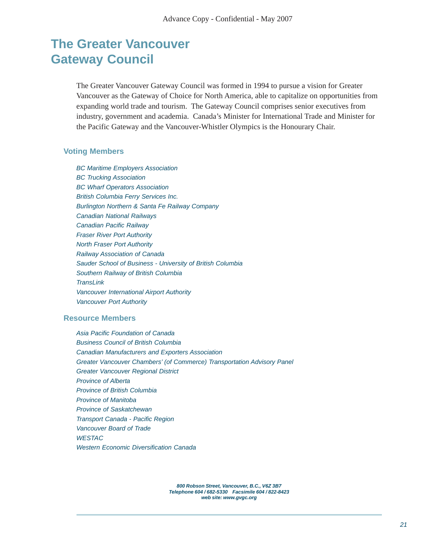### **The Greater Vancouver Gateway Council**

The Greater Vancouver Gateway Council was formed in 1994 to pursue a vision for Greater Vancouver as the Gateway of Choice for North America, able to capitalize on opportunities from expanding world trade and tourism. The Gateway Council comprises senior executives from industry, government and academia. Canada's Minister for International Trade and Minister for the Pacific Gateway and the Vancouver-Whistler Olympics is the Honourary Chair.

#### **Voting Members**

BC Maritime Employers Association BC Trucking Association BC Wharf Operators Association British Columbia Ferry Services Inc. Burlington Northern & Santa Fe Railway Company Canadian National Railways Canadian Pacific Railway Fraser River Port Authority North Fraser Port Authority Railway Association of Canada Sauder School of Business - University of British Columbia Southern Railway of British Columbia **TransLink** Vancouver International Airport Authority Vancouver Port Authority

#### **Resource Members**

Asia Pacific Foundation of Canada Business Council of British Columbia Canadian Manufacturers and Exporters Association Greater Vancouver Chambers' (of Commerce) Transportation Advisory Panel Greater Vancouver Regional District Province of Alberta Province of British Columbia Province of Manitoba Province of Saskatchewan Transport Canada - Pacific Region Vancouver Board of Trade **WESTAC** Western Economic Diversification Canada

> **800 Robson Street, Vancouver, B.C., V6Z 3B7 Telephone 604 / 682-5330 Facsimile 604 / 822-8423 web site: www.gvgc.org**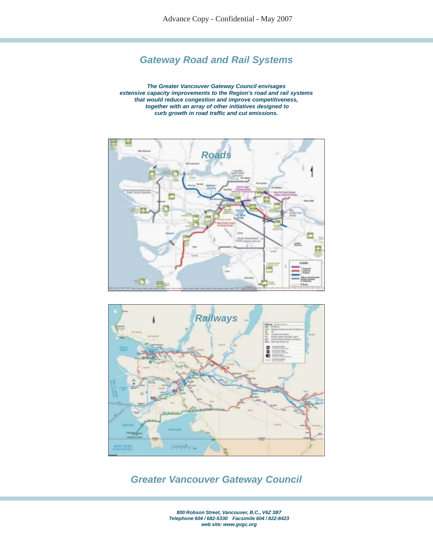### **Gateway Road and Rail Systems**

**The Greater Vancouver Gateway Council envisages extensive capacity improvements to the Region's road and rail systems that would reduce congestion and improve competitiveness, together with an array of other initiatives designed to curb growth in road traffic and cut emissions.**





### **Greater Vancouver Gateway Council**

**800 Robson Street, Vancouver, B.C., V6Z 3B7 Telephone 604 / 682-5330 Facsimile 604 / 822-8423 web site: www.gvgc.org**